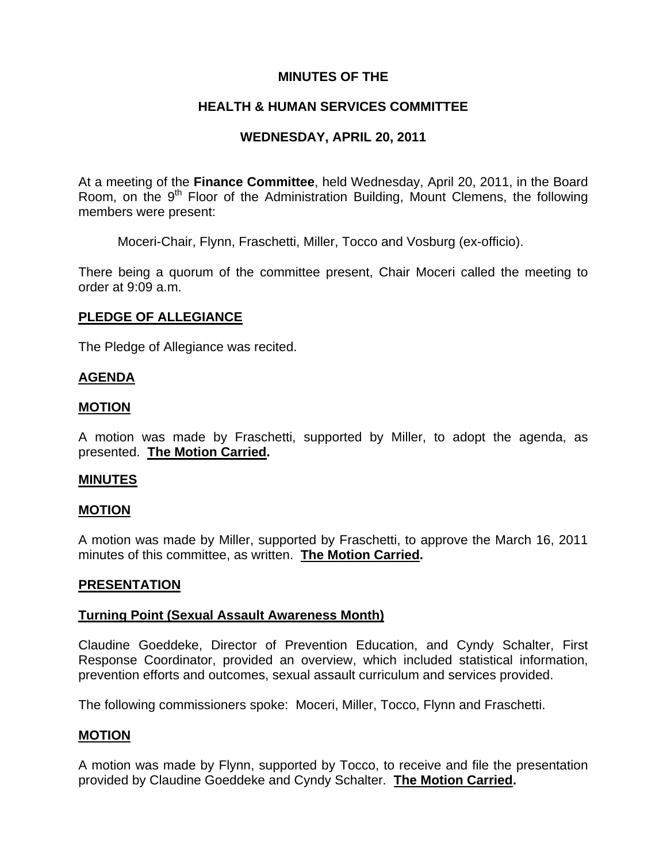# **MINUTES OF THE**

# **HEALTH & HUMAN SERVICES COMMITTEE**

# **WEDNESDAY, APRIL 20, 2011**

At a meeting of the **Finance Committee**, held Wednesday, April 20, 2011, in the Board Room, on the 9<sup>th</sup> Floor of the Administration Building, Mount Clemens, the following members were present:

Moceri-Chair, Flynn, Fraschetti, Miller, Tocco and Vosburg (ex-officio).

There being a quorum of the committee present, Chair Moceri called the meeting to order at 9:09 a.m.

## **PLEDGE OF ALLEGIANCE**

The Pledge of Allegiance was recited.

## **AGENDA**

## **MOTION**

A motion was made by Fraschetti, supported by Miller, to adopt the agenda, as presented. **The Motion Carried.** 

## **MINUTES**

## **MOTION**

A motion was made by Miller, supported by Fraschetti, to approve the March 16, 2011 minutes of this committee, as written. **The Motion Carried.** 

## **PRESENTATION**

## **Turning Point (Sexual Assault Awareness Month)**

Claudine Goeddeke, Director of Prevention Education, and Cyndy Schalter, First Response Coordinator, provided an overview, which included statistical information, prevention efforts and outcomes, sexual assault curriculum and services provided.

The following commissioners spoke: Moceri, Miller, Tocco, Flynn and Fraschetti.

## **MOTION**

A motion was made by Flynn, supported by Tocco, to receive and file the presentation provided by Claudine Goeddeke and Cyndy Schalter. **The Motion Carried.**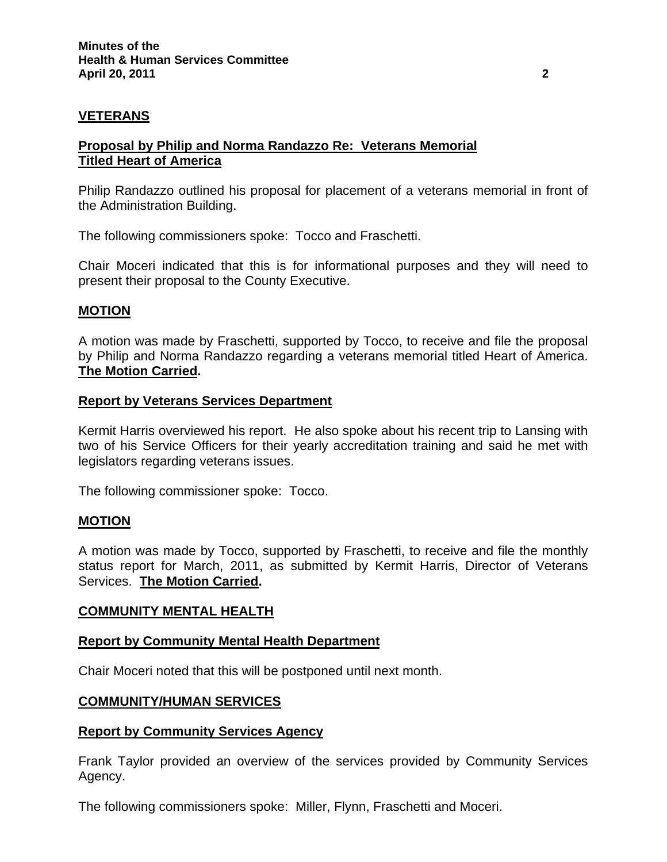# **VETERANS**

## **Proposal by Philip and Norma Randazzo Re: Veterans Memorial Titled Heart of America**

Philip Randazzo outlined his proposal for placement of a veterans memorial in front of the Administration Building.

The following commissioners spoke: Tocco and Fraschetti.

Chair Moceri indicated that this is for informational purposes and they will need to present their proposal to the County Executive.

## **MOTION**

A motion was made by Fraschetti, supported by Tocco, to receive and file the proposal by Philip and Norma Randazzo regarding a veterans memorial titled Heart of America. **The Motion Carried.** 

### **Report by Veterans Services Department**

Kermit Harris overviewed his report. He also spoke about his recent trip to Lansing with two of his Service Officers for their yearly accreditation training and said he met with legislators regarding veterans issues.

The following commissioner spoke: Tocco.

## **MOTION**

A motion was made by Tocco, supported by Fraschetti, to receive and file the monthly status report for March, 2011, as submitted by Kermit Harris, Director of Veterans Services. **The Motion Carried.** 

#### **COMMUNITY MENTAL HEALTH**

#### **Report by Community Mental Health Department**

Chair Moceri noted that this will be postponed until next month.

#### **COMMUNITY/HUMAN SERVICES**

#### **Report by Community Services Agency**

Frank Taylor provided an overview of the services provided by Community Services Agency.

The following commissioners spoke: Miller, Flynn, Fraschetti and Moceri.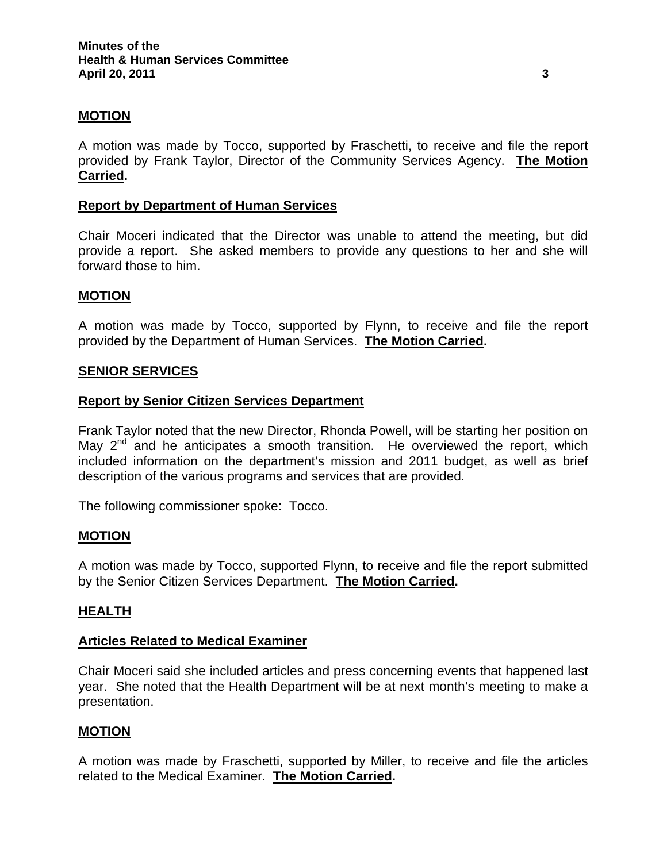## **MOTION**

A motion was made by Tocco, supported by Fraschetti, to receive and file the report provided by Frank Taylor, Director of the Community Services Agency. **The Motion Carried.** 

## **Report by Department of Human Services**

Chair Moceri indicated that the Director was unable to attend the meeting, but did provide a report. She asked members to provide any questions to her and she will forward those to him.

### **MOTION**

A motion was made by Tocco, supported by Flynn, to receive and file the report provided by the Department of Human Services. **The Motion Carried.** 

#### **SENIOR SERVICES**

#### **Report by Senior Citizen Services Department**

Frank Taylor noted that the new Director, Rhonda Powell, will be starting her position on May  $2^{nd}$  and he anticipates a smooth transition. He overviewed the report, which included information on the department's mission and 2011 budget, as well as brief description of the various programs and services that are provided.

The following commissioner spoke: Tocco.

#### **MOTION**

A motion was made by Tocco, supported Flynn, to receive and file the report submitted by the Senior Citizen Services Department. **The Motion Carried.**

#### **HEALTH**

#### **Articles Related to Medical Examiner**

Chair Moceri said she included articles and press concerning events that happened last year. She noted that the Health Department will be at next month's meeting to make a presentation.

## **MOTION**

A motion was made by Fraschetti, supported by Miller, to receive and file the articles related to the Medical Examiner. **The Motion Carried.**